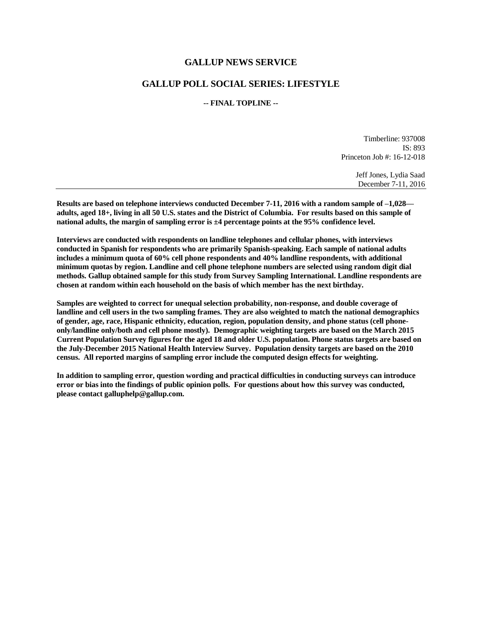### **GALLUP NEWS SERVICE**

# **GALLUP POLL SOCIAL SERIES: LIFESTYLE**

### **-- FINAL TOPLINE --**

Timberline: 937008 IS: 893 Princeton Job #: 16-12-018

> Jeff Jones, Lydia Saad December 7-11, 2016

**Results are based on telephone interviews conducted December 7-11, 2016 with a random sample of –1,028 adults, aged 18+, living in all 50 U.S. states and the District of Columbia. For results based on this sample of national adults, the margin of sampling error is ±4 percentage points at the 95% confidence level.** 

**Interviews are conducted with respondents on landline telephones and cellular phones, with interviews conducted in Spanish for respondents who are primarily Spanish-speaking. Each sample of national adults includes a minimum quota of 60% cell phone respondents and 40% landline respondents, with additional minimum quotas by region. Landline and cell phone telephone numbers are selected using random digit dial methods. Gallup obtained sample for this study from Survey Sampling International. Landline respondents are chosen at random within each household on the basis of which member has the next birthday.**

**Samples are weighted to correct for unequal selection probability, non-response, and double coverage of landline and cell users in the two sampling frames. They are also weighted to match the national demographics of gender, age, race, Hispanic ethnicity, education, region, population density, and phone status (cell phoneonly/landline only/both and cell phone mostly). Demographic weighting targets are based on the March 2015 Current Population Survey figures for the aged 18 and older U.S. population. Phone status targets are based on the July-December 2015 National Health Interview Survey. Population density targets are based on the 2010 census. All reported margins of sampling error include the computed design effects for weighting.** 

**In addition to sampling error, question wording and practical difficulties in conducting surveys can introduce error or bias into the findings of public opinion polls. For questions about how this survey was conducted, please contact galluphelp@gallup.com.**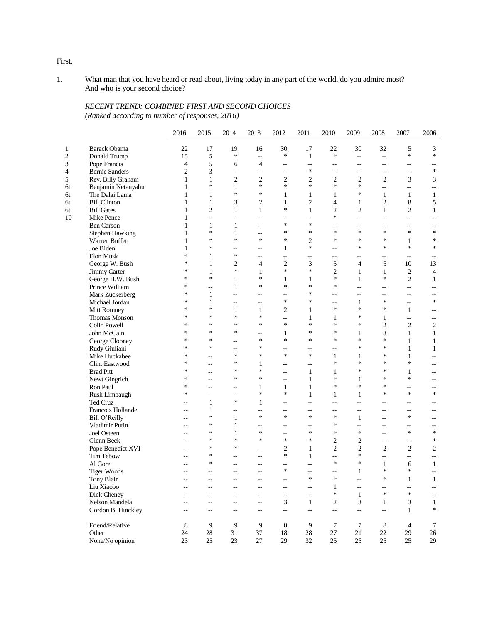#### First,

1. What man that you have heard or read about, living today in any part of the world, do you admire most? And who is your second choice?

# *RECENT TREND: COMBINED FIRST AND SECOND CHOICES (Ranked according to number of responses, 2016)*

|                         |                        | 2016           | 2015           | 2014           | 2013                     | 2012           | 2011                   | 2010                     | 2009                     | 2008                      | 2007                                                | 2006                     |
|-------------------------|------------------------|----------------|----------------|----------------|--------------------------|----------------|------------------------|--------------------------|--------------------------|---------------------------|-----------------------------------------------------|--------------------------|
| 1                       | <b>Barack Obama</b>    | 22             | 17             | 19             | 16                       | 30             | 17                     | 22                       | 30                       | 32                        | 5                                                   | 3                        |
| $\overline{\mathbf{c}}$ | Donald Trump           | 15             | 5              | $\ast$         | L.                       | ∗              | $\mathbf{1}$           | $\ast$                   | ÷,                       | $\overline{a}$            | $\ast$                                              | $\ast$                   |
| 3                       | Pope Francis           | $\overline{4}$ | 5              | 6              | 4                        | $-$            | --                     | $-$                      | $\overline{\phantom{a}}$ | $-$                       | $- -$                                               |                          |
| 4                       | <b>Bernie Sanders</b>  | $\mathfrak{2}$ | 3              | $-$            | $\overline{a}$           | $-$            | $\ast$                 | $- -$                    | $\sim$ $\sim$            | $-$                       | $\sim$ $\sim$                                       | $\ast$                   |
| 5                       | Rev. Billy Graham      | 1              | $\mathbf{1}$   | $\overline{2}$ | $\overline{c}$           | $\sqrt{2}$     | $\overline{c}$         | $\mathfrak{2}$           | $\overline{c}$           | $\overline{c}$            | 3                                                   | 3                        |
| 6t                      | Benjamin Netanyahu     | $\mathbf{1}$   | $\ast$         | $\mathbf{1}$   | *                        | $\ast$         | $\ast$                 | $\ast$                   | $\ast$                   | $\mathbf{u}$              | $\overline{\phantom{a}}$                            | $\overline{\phantom{m}}$ |
| 6t                      | The Dalai Lama         | 1              | $\mathbf{1}$   | $\ast$         | *                        | 1              | $\mathbf{1}$           | $\mathbf{1}$             | $\ast$                   | 1                         | $\mathbf{1}$                                        | $\mathbf{1}$             |
| 6t                      | <b>Bill Clinton</b>    | 1              | 1              | 3              | $\overline{c}$           | $\mathbf{1}$   | $\mathfrak{2}$         | 4                        | 1                        | $\overline{c}$            | 8                                                   | 5                        |
| 6t                      | <b>Bill Gates</b>      | 1              | $\overline{c}$ | $\mathbf{1}$   | $\mathbf{1}$             | *              | $\mathbf{1}$           | $\overline{2}$           | $\overline{c}$           | $\mathbf{1}$              | $\overline{c}$                                      | $\mathbf{1}$             |
| 10                      | Mike Pence             | 1              | Щ,             | --             | $\overline{a}$           | $\overline{a}$ | ÷,                     | $\ast$                   | ÷,                       | $\overline{\phantom{a}}$  | Ξ.                                                  | $-$                      |
|                         | <b>Ben Carson</b>      | 1              | $\mathbf{1}$   | $\mathbf{1}$   | --                       | *              | $\ast$                 | --                       | $-$                      | $-$                       | $- -$                                               | $-$                      |
|                         | <b>Stephen Hawking</b> | 1              | $\ast$         | $\mathbf{1}$   | --                       | *              | $\ast$                 | $\ast$                   | $\ast$                   | $\ast$                    | $\ast$                                              | $\ast$                   |
|                         | Warren Buffett         | 1              | $\ast$         | $\ast$         | $\ast$                   | *              | $\overline{c}$         | ∗                        | ∗                        | ∗                         | $\mathbf{1}$                                        | *                        |
|                         | Joe Biden              | 1              | $\ast$         | $-$            | $-$                      | 1              | $\ast$                 | $\overline{\phantom{a}}$ | $\ast$                   | $\ast$                    | $\ast$                                              | $\ast$                   |
|                         | Elon Musk              | $\ast$         | 1              | ∗              | --                       | Ξ.             | --                     | $-$                      | $-$                      | $\overline{\phantom{a}}$  | $\overline{\phantom{a}}$                            | $-$                      |
|                         | George W. Bush         | *              | 1              | $\overline{2}$ | 4                        | $\mathfrak{2}$ | 3                      | 5                        | 4                        | 5                         | 10                                                  | 13                       |
|                         | Jimmy Carter           | *              | 1              | $\ast$         | 1                        | $\ast$         | $\ast$                 | $\overline{2}$           | $\mathbf{1}$             | $\mathbf{1}$              | $\overline{c}$                                      | $\overline{4}$           |
|                         | George H.W. Bush       | $\ast$         | $\ast$         | 1              | *                        | 1              | $\mathbf{1}$           | $\ast$                   | $\mathbf{1}$             | $\ast$                    | $\overline{c}$                                      | $\mathbf{1}$             |
|                         | Prince William         | ∗              | --             | $\mathbf{1}$   | $\ast$                   | $\ast$         | $\ast$                 | *                        | $\overline{a}$           | $\overline{a}$            | $\overline{a}$                                      | $\sim$ $-$               |
|                         | Mark Zuckerberg        | ∗              | $\mathbf{1}$   | Ξ.             | --                       | $-$            | ∗                      | $-$                      | $\overline{\phantom{a}}$ | $-$                       | $- -$                                               | $-$                      |
|                         | Michael Jordan         | $\ast$         | $\mathbf{1}$   | $\overline{a}$ | $\sim$                   | $\ast$         | $\ast$                 | $-$                      | $\mathbf{1}$             | $\ast$                    | $\mathbf{u}$                                        | $\ast$                   |
|                         | Mitt Romney            | ∗              | $\ast$         | $\mathbf{1}$   | 1                        | $\overline{c}$ | $\mathbf{1}$           | $\ast$                   | $\ast$                   | ∗                         | $\mathbf{1}$                                        |                          |
|                         | Thomas Monson          | ∗              | $\ast$         | $\ast$         | $\ast$                   |                |                        |                          | $\ast$                   |                           | Ξ.                                                  | $-$                      |
|                         |                        | ∗              | $\ast$         | $\ast$         | $\ast$                   | 44<br>$\ast$   | $\mathbf{1}$<br>$\ast$ | $\mathbf{1}$<br>$\ast$   | $\ast$                   | 1                         |                                                     | $-$                      |
|                         | Colin Powell           | ∗              | $\ast$         | $\ast$         |                          |                | $\ast$                 | $\ast$                   |                          | $\mathfrak{2}$            | $\overline{c}$                                      | $\overline{c}$           |
|                         | John McCain            | ∗              | $\ast$         |                | --<br>$\ast$             | 1<br>$\ast$    | $\ast$                 | $\ast$                   | 1<br>$\ast$              | 3<br>$\ast$               | $\mathbf{1}$                                        | $\mathbf{1}$             |
|                         | George Clooney         | $\ast$         | $\ast$         | --             | *                        |                |                        |                          | $\ast$                   | $\ast$                    | $\mathbf{1}$                                        | $\mathbf{1}$             |
|                         | Rudy Giuliani          |                |                | $-$            | ∗                        | $-$<br>$\ast$  | $-$<br>$\ast$          | $\overline{a}$           |                          |                           | $\mathbf{1}$                                        | $\mathbf{1}$             |
|                         | Mike Huckabee          | ∗<br>$\ast$    | $-$            | ∗              |                          |                |                        | $\mathbf{1}$<br>$\ast$   | $\mathbf{1}$<br>$\ast$   | ∗                         | $\mathbf{1}$<br>$\ast$                              | $-$                      |
|                         | <b>Clint Eastwood</b>  |                | Ξ.             | ∗              | 1                        | --             | ÷,                     |                          |                          | $\ast$                    |                                                     | $-$                      |
|                         | <b>Brad Pitt</b>       | ∗              | --             | ∗              | $\ast$                   | $-$            | $\mathbf{1}$           | $\mathbf{1}$             | $\ast$                   | ∗                         | $\mathbf{1}$                                        | $-$                      |
|                         | Newt Gingrich          | ∗              | --             | ∗              | *                        | Щ,             | $\mathbf{1}$           | $\ast$                   | $\mathbf{1}$             | $\ast$                    | $\ast$                                              | $-$                      |
|                         | Ron Paul               | *              | $-$            | --             | 1                        | $\mathbf{1}$   | $\mathbf{1}$           | ∗                        | $\ast$                   | ∗                         | $\overline{a}$                                      | $-$                      |
|                         | Rush Limbaugh          | ∗              | $-$            | $- -$          | *                        | $\ast$         | $\mathbf{1}$           | 1                        | 1                        | $\ast$                    | $\ast$                                              | $\ast$                   |
|                         | Ted Cruz               | --             | $\mathbf{1}$   | $\ast$         | 1                        | $-$            | --                     | $-$                      | $\overline{a}$           | $-$                       | $- -$                                               | $-$                      |
|                         | Francois Hollande      | $-$            | 1              | $-$            | --                       | $-$            | --                     | $-$                      | $\overline{\phantom{a}}$ | $\overline{\phantom{a}}$  | $\hspace{0.05cm} -\hspace{0.05cm} -\hspace{0.05cm}$ | $\sim$ $-$               |
|                         | Bill O'Reilly          | $-$            | *              | $\mathbf{1}$   | *                        | $\ast$         | $\ast$                 | $\ast$                   | $\mathbf{1}$             | $-$                       | $\ast$                                              | $-$                      |
|                         | Vladimir Putin         | $-$            | $\ast$         | $\mathbf{1}$   | --                       | $\overline{a}$ | $-$                    | $\ast$                   | $\mathbf{u}$             | $\sim$                    | $- -$                                               | $-$                      |
|                         | Joel Osteen            | $-$            | ∗              | 1              | *                        | --             | $\ast$                 | *                        | $\ast$                   | $- -$                     | ∗                                                   | $\ast$                   |
|                         | Glenn Beck             | $\overline{a}$ | $\ast$         | *              | *                        | $\ast$         | $\ast$                 | $\mathfrak{2}$           | $\overline{c}$           | $\overline{a}$            | $\overline{\phantom{a}}$                            | $\ast$                   |
|                         | Pope Benedict XVI      | $-$            | *              | ∗              | --                       | 2              | $\mathbf{1}$           | $\overline{c}$           | $\overline{c}$           | $\mathfrak{2}$            | $\mathfrak{2}$                                      | 2                        |
|                         | Tim Tebow              | $\overline{a}$ | *              | $-$            | $\overline{\phantom{m}}$ | *              | $\mathbf{1}$           | $-$                      | $\ast$                   | $\overline{\phantom{a}}$  | $-$                                                 | $-\,-$                   |
|                         | Al Gore                | --             | ∗              | $-$            | --                       | $-$            | 44                     | ∗                        | *                        | 1                         | 6                                                   | $\mathbf{1}$             |
|                         | <b>Tiger Woods</b>     | --             | --             | $-$            | --                       | $\ast$         | $-$                    | --                       | 1                        | *                         | $\ast$                                              | $-\,-$                   |
|                         | Tony Blair             | $-$            | $-$            |                | $-$                      |                | $\ast$                 | $\ast$                   | Ц.                       | ∗                         | 1                                                   | $\mathbf{1}$             |
|                         | Liu Xiaobo             | --             | --             |                | --                       | --             | --                     | $\mathbf{1}$             | $\overline{a}$           | $\overline{a}$            | $\hspace{0.05cm} \ldots$                            | $-\, -$                  |
|                         | Dick Cheney            | --             | --             | --             | --                       | $-$            | --                     | $\ast$                   | $\mathbf{1}$             | $\ast$                    | $\ast$                                              | $\overline{\phantom{m}}$ |
|                         | Nelson Mandela         | $\overline{a}$ | --             | $\overline{a}$ | $\overline{\phantom{a}}$ | 3              | $\mathbf{1}$           | $\overline{c}$           | 3                        | 1                         | 3                                                   | $\mathbf{1}$             |
|                         | Gordon B. Hinckley     | $\overline{a}$ | --             | $\overline{a}$ | $\frac{1}{2}$            | $\overline{a}$ | ÷.                     | $\overline{a}$           | $\overline{\phantom{a}}$ | $\mathbb{L}^{\mathbb{L}}$ | $\mathbf{1}$                                        | $\ast$                   |
|                         | Friend/Relative        | 8              | 9              | 9              | 9                        | $\,8\,$        | 9                      | 7                        | $\tau$                   | 8                         | $\overline{4}$                                      | 7                        |
|                         | Other                  | 24             | $28\,$         | 31             | 37                       | $18\,$         | $28\,$                 | $27\,$                   | 21                       | 22                        | 29                                                  | $26\,$                   |
|                         | None/No opinion        | 23             | $25\,$         | 23             | $27\,$                   | 29             | 32                     | $25\,$                   | $25\,$                   | $25\,$                    | 25                                                  | 29                       |
|                         |                        |                |                |                |                          |                |                        |                          |                          |                           |                                                     |                          |